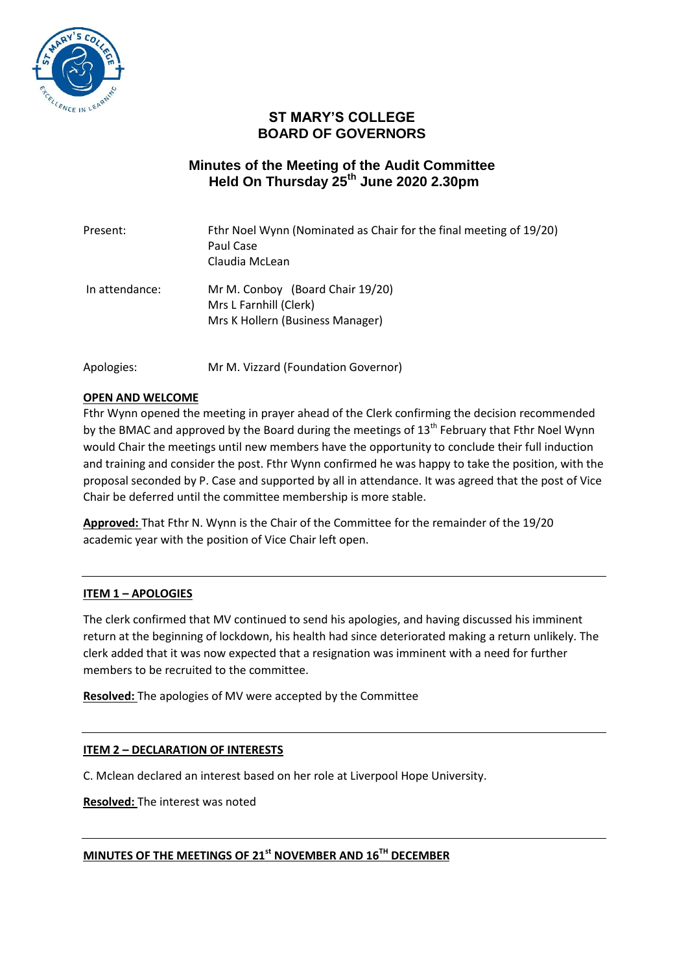

# **ST MARY'S COLLEGE BOARD OF GOVERNORS**

## **Minutes of the Meeting of the Audit Committee Held On Thursday 25th June 2020 2.30pm**

| Present:       | Fthr Noel Wynn (Nominated as Chair for the final meeting of 19/20)<br>Paul Case<br>Claudia McLean |
|----------------|---------------------------------------------------------------------------------------------------|
| In attendance: | Mr M. Conboy (Board Chair 19/20)<br>Mrs L Farnhill (Clerk)<br>Mrs K Hollern (Business Manager)    |

Apologies: Mr M. Vizzard (Foundation Governor)

## **OPEN AND WELCOME**

Fthr Wynn opened the meeting in prayer ahead of the Clerk confirming the decision recommended by the BMAC and approved by the Board during the meetings of  $13<sup>th</sup>$  February that Fthr Noel Wynn would Chair the meetings until new members have the opportunity to conclude their full induction and training and consider the post. Fthr Wynn confirmed he was happy to take the position, with the proposal seconded by P. Case and supported by all in attendance. It was agreed that the post of Vice Chair be deferred until the committee membership is more stable.

**Approved:** That Fthr N. Wynn is the Chair of the Committee for the remainder of the 19/20 academic year with the position of Vice Chair left open.

## **ITEM 1 – APOLOGIES**

The clerk confirmed that MV continued to send his apologies, and having discussed his imminent return at the beginning of lockdown, his health had since deteriorated making a return unlikely. The clerk added that it was now expected that a resignation was imminent with a need for further members to be recruited to the committee.

**Resolved:** The apologies of MV were accepted by the Committee

## **ITEM 2 – DECLARATION OF INTERESTS**

C. Mclean declared an interest based on her role at Liverpool Hope University.

**Resolved:** The interest was noted

**MINUTES OF THE MEETINGS OF 21st NOVEMBER AND 16TH DECEMBER**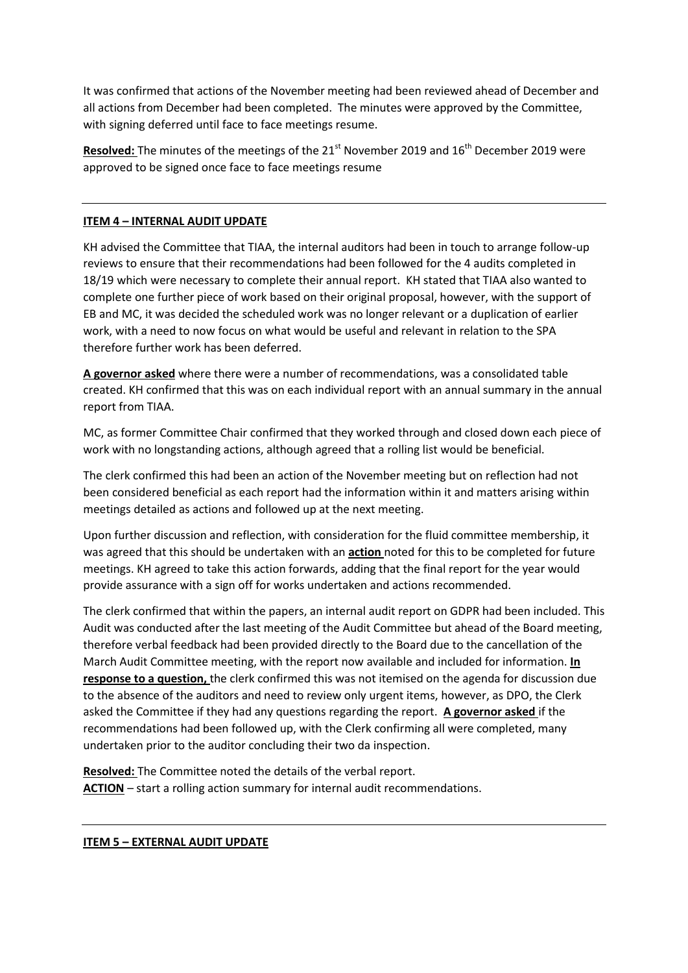It was confirmed that actions of the November meeting had been reviewed ahead of December and all actions from December had been completed. The minutes were approved by the Committee, with signing deferred until face to face meetings resume.

**Resolved:** The minutes of the meetings of the 21<sup>st</sup> November 2019 and 16<sup>th</sup> December 2019 were approved to be signed once face to face meetings resume

## **ITEM 4 – INTERNAL AUDIT UPDATE**

KH advised the Committee that TIAA, the internal auditors had been in touch to arrange follow-up reviews to ensure that their recommendations had been followed for the 4 audits completed in 18/19 which were necessary to complete their annual report. KH stated that TIAA also wanted to complete one further piece of work based on their original proposal, however, with the support of EB and MC, it was decided the scheduled work was no longer relevant or a duplication of earlier work, with a need to now focus on what would be useful and relevant in relation to the SPA therefore further work has been deferred.

**A governor asked** where there were a number of recommendations, was a consolidated table created. KH confirmed that this was on each individual report with an annual summary in the annual report from TIAA.

MC, as former Committee Chair confirmed that they worked through and closed down each piece of work with no longstanding actions, although agreed that a rolling list would be beneficial.

The clerk confirmed this had been an action of the November meeting but on reflection had not been considered beneficial as each report had the information within it and matters arising within meetings detailed as actions and followed up at the next meeting.

Upon further discussion and reflection, with consideration for the fluid committee membership, it was agreed that this should be undertaken with an **action** noted for this to be completed for future meetings. KH agreed to take this action forwards, adding that the final report for the year would provide assurance with a sign off for works undertaken and actions recommended.

The clerk confirmed that within the papers, an internal audit report on GDPR had been included. This Audit was conducted after the last meeting of the Audit Committee but ahead of the Board meeting, therefore verbal feedback had been provided directly to the Board due to the cancellation of the March Audit Committee meeting, with the report now available and included for information. **In response to a question,** the clerk confirmed this was not itemised on the agenda for discussion due to the absence of the auditors and need to review only urgent items, however, as DPO, the Clerk asked the Committee if they had any questions regarding the report. **A governor asked** if the recommendations had been followed up, with the Clerk confirming all were completed, many undertaken prior to the auditor concluding their two da inspection.

**Resolved:** The Committee noted the details of the verbal report. **ACTION** – start a rolling action summary for internal audit recommendations.

#### **ITEM 5 – EXTERNAL AUDIT UPDATE**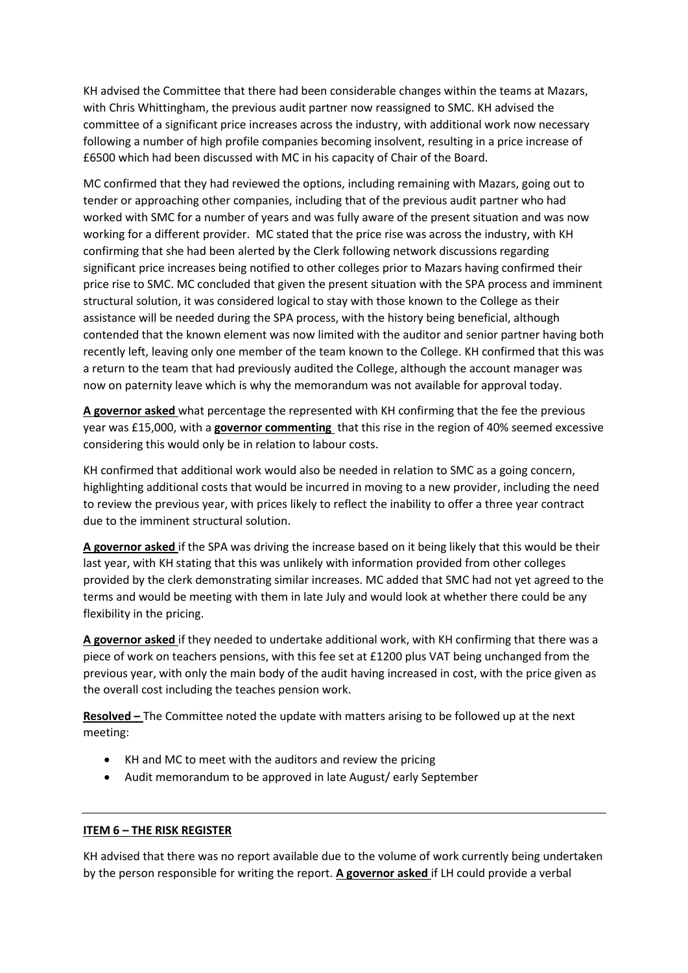KH advised the Committee that there had been considerable changes within the teams at Mazars, with Chris Whittingham, the previous audit partner now reassigned to SMC. KH advised the committee of a significant price increases across the industry, with additional work now necessary following a number of high profile companies becoming insolvent, resulting in a price increase of £6500 which had been discussed with MC in his capacity of Chair of the Board.

MC confirmed that they had reviewed the options, including remaining with Mazars, going out to tender or approaching other companies, including that of the previous audit partner who had worked with SMC for a number of years and was fully aware of the present situation and was now working for a different provider. MC stated that the price rise was across the industry, with KH confirming that she had been alerted by the Clerk following network discussions regarding significant price increases being notified to other colleges prior to Mazars having confirmed their price rise to SMC. MC concluded that given the present situation with the SPA process and imminent structural solution, it was considered logical to stay with those known to the College as their assistance will be needed during the SPA process, with the history being beneficial, although contended that the known element was now limited with the auditor and senior partner having both recently left, leaving only one member of the team known to the College. KH confirmed that this was a return to the team that had previously audited the College, although the account manager was now on paternity leave which is why the memorandum was not available for approval today.

**A governor asked** what percentage the represented with KH confirming that the fee the previous year was £15,000, with a **governor commenting** that this rise in the region of 40% seemed excessive considering this would only be in relation to labour costs.

KH confirmed that additional work would also be needed in relation to SMC as a going concern, highlighting additional costs that would be incurred in moving to a new provider, including the need to review the previous year, with prices likely to reflect the inability to offer a three year contract due to the imminent structural solution.

**A governor asked** if the SPA was driving the increase based on it being likely that this would be their last year, with KH stating that this was unlikely with information provided from other colleges provided by the clerk demonstrating similar increases. MC added that SMC had not yet agreed to the terms and would be meeting with them in late July and would look at whether there could be any flexibility in the pricing.

**A governor asked** if they needed to undertake additional work, with KH confirming that there was a piece of work on teachers pensions, with this fee set at £1200 plus VAT being unchanged from the previous year, with only the main body of the audit having increased in cost, with the price given as the overall cost including the teaches pension work.

**Resolved –** The Committee noted the update with matters arising to be followed up at the next meeting:

- KH and MC to meet with the auditors and review the pricing
- Audit memorandum to be approved in late August/ early September

#### **ITEM 6 – THE RISK REGISTER**

KH advised that there was no report available due to the volume of work currently being undertaken by the person responsible for writing the report. **A governor asked** if LH could provide a verbal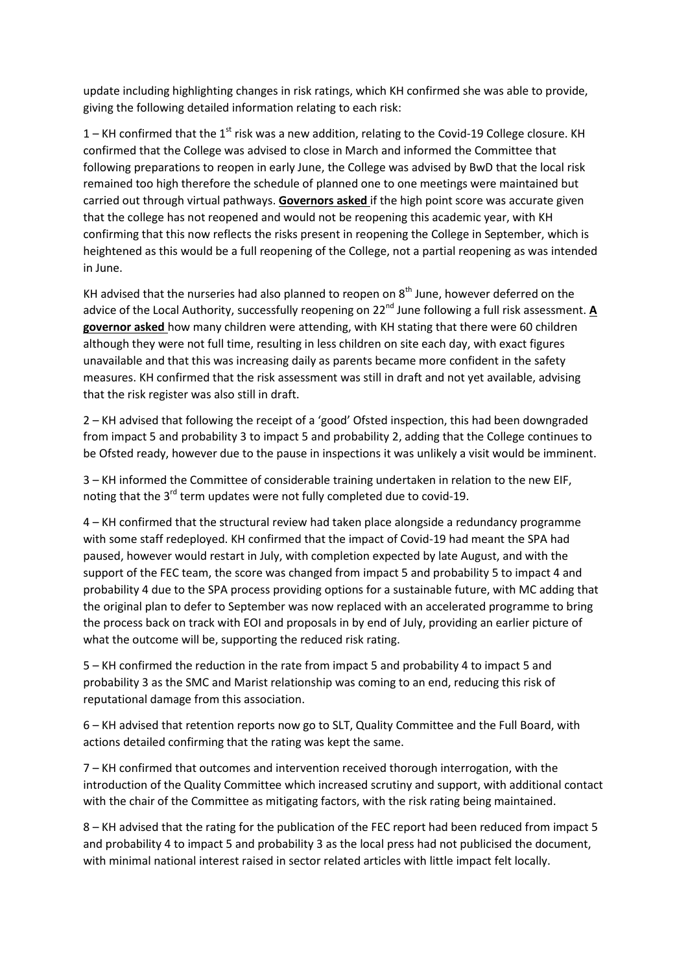update including highlighting changes in risk ratings, which KH confirmed she was able to provide, giving the following detailed information relating to each risk:

1 – KH confirmed that the 1<sup>st</sup> risk was a new addition, relating to the Covid-19 College closure. KH confirmed that the College was advised to close in March and informed the Committee that following preparations to reopen in early June, the College was advised by BwD that the local risk remained too high therefore the schedule of planned one to one meetings were maintained but carried out through virtual pathways. **Governors asked** if the high point score was accurate given that the college has not reopened and would not be reopening this academic year, with KH confirming that this now reflects the risks present in reopening the College in September, which is heightened as this would be a full reopening of the College, not a partial reopening as was intended in June.

KH advised that the nurseries had also planned to reopen on  $8<sup>th</sup>$  June, however deferred on the advice of the Local Authority, successfully reopening on 22<sup>nd</sup> June following a full risk assessment. **A governor asked** how many children were attending, with KH stating that there were 60 children although they were not full time, resulting in less children on site each day, with exact figures unavailable and that this was increasing daily as parents became more confident in the safety measures. KH confirmed that the risk assessment was still in draft and not yet available, advising that the risk register was also still in draft.

2 – KH advised that following the receipt of a 'good' Ofsted inspection, this had been downgraded from impact 5 and probability 3 to impact 5 and probability 2, adding that the College continues to be Ofsted ready, however due to the pause in inspections it was unlikely a visit would be imminent.

3 – KH informed the Committee of considerable training undertaken in relation to the new EIF, noting that the  $3^{rd}$  term updates were not fully completed due to covid-19.

4 – KH confirmed that the structural review had taken place alongside a redundancy programme with some staff redeployed. KH confirmed that the impact of Covid-19 had meant the SPA had paused, however would restart in July, with completion expected by late August, and with the support of the FEC team, the score was changed from impact 5 and probability 5 to impact 4 and probability 4 due to the SPA process providing options for a sustainable future, with MC adding that the original plan to defer to September was now replaced with an accelerated programme to bring the process back on track with EOI and proposals in by end of July, providing an earlier picture of what the outcome will be, supporting the reduced risk rating.

5 – KH confirmed the reduction in the rate from impact 5 and probability 4 to impact 5 and probability 3 as the SMC and Marist relationship was coming to an end, reducing this risk of reputational damage from this association.

6 – KH advised that retention reports now go to SLT, Quality Committee and the Full Board, with actions detailed confirming that the rating was kept the same.

7 – KH confirmed that outcomes and intervention received thorough interrogation, with the introduction of the Quality Committee which increased scrutiny and support, with additional contact with the chair of the Committee as mitigating factors, with the risk rating being maintained.

8 – KH advised that the rating for the publication of the FEC report had been reduced from impact 5 and probability 4 to impact 5 and probability 3 as the local press had not publicised the document, with minimal national interest raised in sector related articles with little impact felt locally.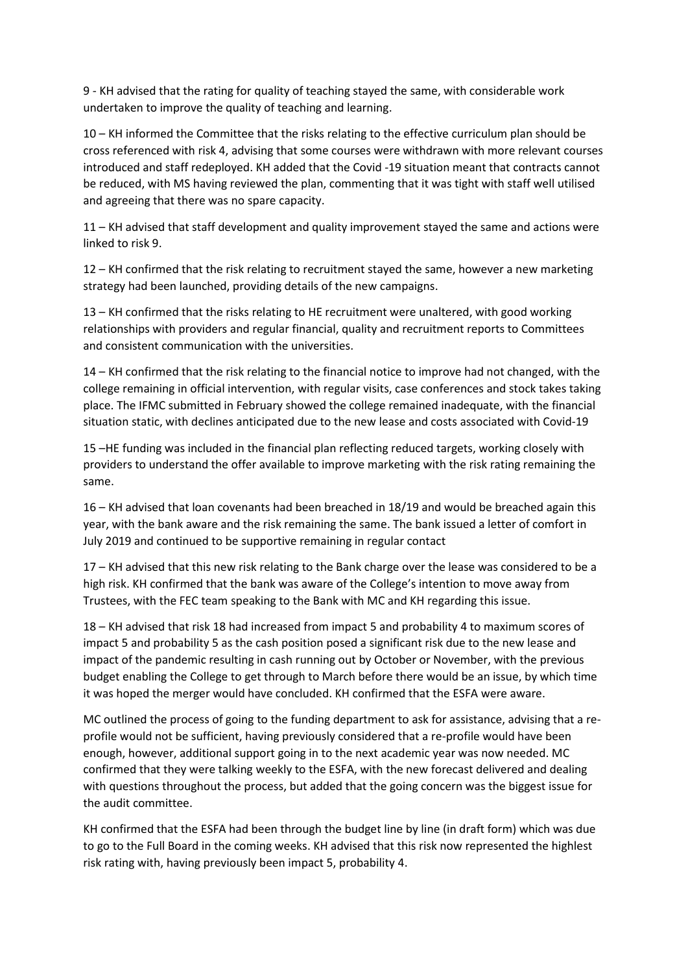9 - KH advised that the rating for quality of teaching stayed the same, with considerable work undertaken to improve the quality of teaching and learning.

10 – KH informed the Committee that the risks relating to the effective curriculum plan should be cross referenced with risk 4, advising that some courses were withdrawn with more relevant courses introduced and staff redeployed. KH added that the Covid -19 situation meant that contracts cannot be reduced, with MS having reviewed the plan, commenting that it was tight with staff well utilised and agreeing that there was no spare capacity.

11 – KH advised that staff development and quality improvement stayed the same and actions were linked to risk 9.

12 – KH confirmed that the risk relating to recruitment stayed the same, however a new marketing strategy had been launched, providing details of the new campaigns.

13 – KH confirmed that the risks relating to HE recruitment were unaltered, with good working relationships with providers and regular financial, quality and recruitment reports to Committees and consistent communication with the universities.

14 – KH confirmed that the risk relating to the financial notice to improve had not changed, with the college remaining in official intervention, with regular visits, case conferences and stock takes taking place. The IFMC submitted in February showed the college remained inadequate, with the financial situation static, with declines anticipated due to the new lease and costs associated with Covid-19

15 –HE funding was included in the financial plan reflecting reduced targets, working closely with providers to understand the offer available to improve marketing with the risk rating remaining the same.

16 – KH advised that loan covenants had been breached in 18/19 and would be breached again this year, with the bank aware and the risk remaining the same. The bank issued a letter of comfort in July 2019 and continued to be supportive remaining in regular contact

17 – KH advised that this new risk relating to the Bank charge over the lease was considered to be a high risk. KH confirmed that the bank was aware of the College's intention to move away from Trustees, with the FEC team speaking to the Bank with MC and KH regarding this issue.

18 – KH advised that risk 18 had increased from impact 5 and probability 4 to maximum scores of impact 5 and probability 5 as the cash position posed a significant risk due to the new lease and impact of the pandemic resulting in cash running out by October or November, with the previous budget enabling the College to get through to March before there would be an issue, by which time it was hoped the merger would have concluded. KH confirmed that the ESFA were aware.

MC outlined the process of going to the funding department to ask for assistance, advising that a reprofile would not be sufficient, having previously considered that a re-profile would have been enough, however, additional support going in to the next academic year was now needed. MC confirmed that they were talking weekly to the ESFA, with the new forecast delivered and dealing with questions throughout the process, but added that the going concern was the biggest issue for the audit committee.

KH confirmed that the ESFA had been through the budget line by line (in draft form) which was due to go to the Full Board in the coming weeks. KH advised that this risk now represented the highlest risk rating with, having previously been impact 5, probability 4.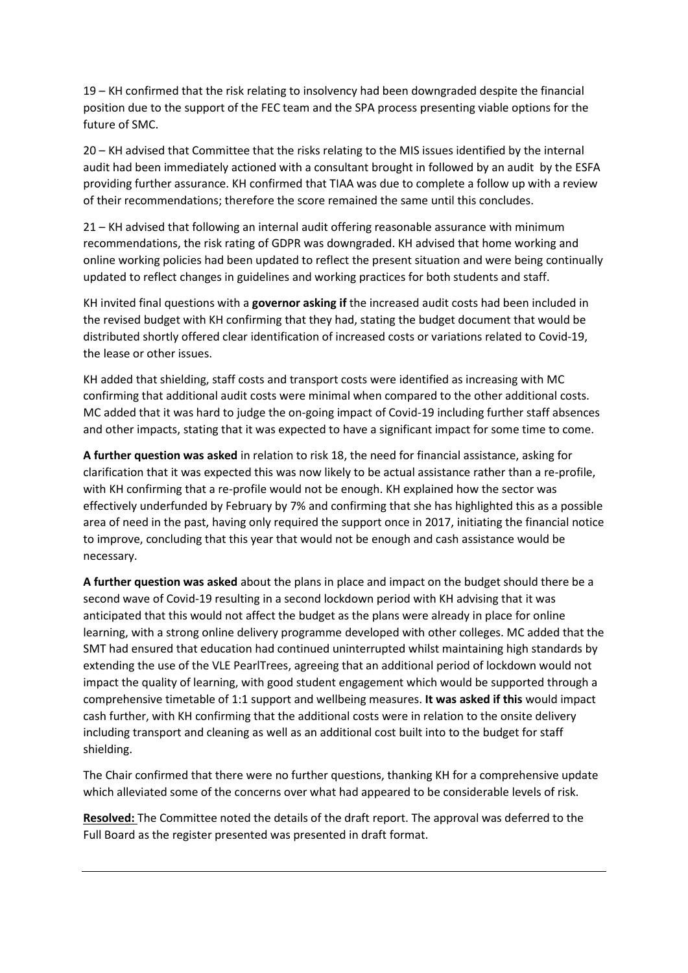19 – KH confirmed that the risk relating to insolvency had been downgraded despite the financial position due to the support of the FEC team and the SPA process presenting viable options for the future of SMC.

20 – KH advised that Committee that the risks relating to the MIS issues identified by the internal audit had been immediately actioned with a consultant brought in followed by an audit by the ESFA providing further assurance. KH confirmed that TIAA was due to complete a follow up with a review of their recommendations; therefore the score remained the same until this concludes.

21 – KH advised that following an internal audit offering reasonable assurance with minimum recommendations, the risk rating of GDPR was downgraded. KH advised that home working and online working policies had been updated to reflect the present situation and were being continually updated to reflect changes in guidelines and working practices for both students and staff.

KH invited final questions with a **governor asking if** the increased audit costs had been included in the revised budget with KH confirming that they had, stating the budget document that would be distributed shortly offered clear identification of increased costs or variations related to Covid-19, the lease or other issues.

KH added that shielding, staff costs and transport costs were identified as increasing with MC confirming that additional audit costs were minimal when compared to the other additional costs. MC added that it was hard to judge the on-going impact of Covid-19 including further staff absences and other impacts, stating that it was expected to have a significant impact for some time to come.

**A further question was asked** in relation to risk 18, the need for financial assistance, asking for clarification that it was expected this was now likely to be actual assistance rather than a re-profile, with KH confirming that a re-profile would not be enough. KH explained how the sector was effectively underfunded by February by 7% and confirming that she has highlighted this as a possible area of need in the past, having only required the support once in 2017, initiating the financial notice to improve, concluding that this year that would not be enough and cash assistance would be necessary.

**A further question was asked** about the plans in place and impact on the budget should there be a second wave of Covid-19 resulting in a second lockdown period with KH advising that it was anticipated that this would not affect the budget as the plans were already in place for online learning, with a strong online delivery programme developed with other colleges. MC added that the SMT had ensured that education had continued uninterrupted whilst maintaining high standards by extending the use of the VLE PearlTrees, agreeing that an additional period of lockdown would not impact the quality of learning, with good student engagement which would be supported through a comprehensive timetable of 1:1 support and wellbeing measures. **It was asked if this** would impact cash further, with KH confirming that the additional costs were in relation to the onsite delivery including transport and cleaning as well as an additional cost built into to the budget for staff shielding.

The Chair confirmed that there were no further questions, thanking KH for a comprehensive update which alleviated some of the concerns over what had appeared to be considerable levels of risk.

**Resolved:** The Committee noted the details of the draft report. The approval was deferred to the Full Board as the register presented was presented in draft format.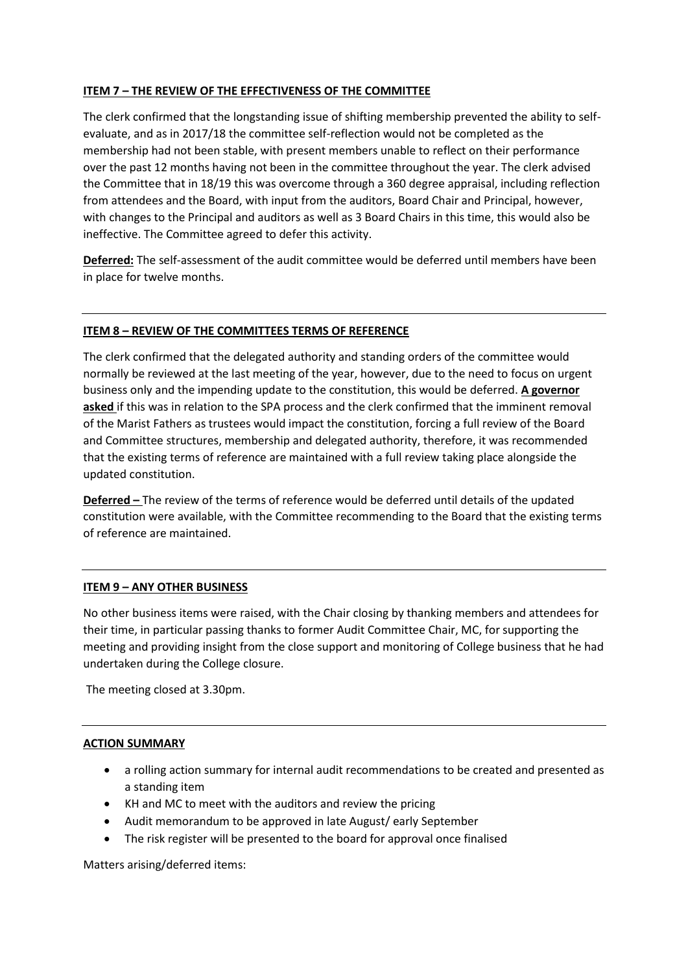## **ITEM 7 – THE REVIEW OF THE EFFECTIVENESS OF THE COMMITTEE**

The clerk confirmed that the longstanding issue of shifting membership prevented the ability to selfevaluate, and as in 2017/18 the committee self-reflection would not be completed as the membership had not been stable, with present members unable to reflect on their performance over the past 12 months having not been in the committee throughout the year. The clerk advised the Committee that in 18/19 this was overcome through a 360 degree appraisal, including reflection from attendees and the Board, with input from the auditors, Board Chair and Principal, however, with changes to the Principal and auditors as well as 3 Board Chairs in this time, this would also be ineffective. The Committee agreed to defer this activity.

**Deferred:** The self-assessment of the audit committee would be deferred until members have been in place for twelve months.

## **ITEM 8 – REVIEW OF THE COMMITTEES TERMS OF REFERENCE**

The clerk confirmed that the delegated authority and standing orders of the committee would normally be reviewed at the last meeting of the year, however, due to the need to focus on urgent business only and the impending update to the constitution, this would be deferred. **A governor asked** if this was in relation to the SPA process and the clerk confirmed that the imminent removal of the Marist Fathers as trustees would impact the constitution, forcing a full review of the Board and Committee structures, membership and delegated authority, therefore, it was recommended that the existing terms of reference are maintained with a full review taking place alongside the updated constitution.

**Deferred –** The review of the terms of reference would be deferred until details of the updated constitution were available, with the Committee recommending to the Board that the existing terms of reference are maintained.

#### **ITEM 9 – ANY OTHER BUSINESS**

No other business items were raised, with the Chair closing by thanking members and attendees for their time, in particular passing thanks to former Audit Committee Chair, MC, for supporting the meeting and providing insight from the close support and monitoring of College business that he had undertaken during the College closure.

The meeting closed at 3.30pm.

#### **ACTION SUMMARY**

- a rolling action summary for internal audit recommendations to be created and presented as a standing item
- KH and MC to meet with the auditors and review the pricing
- Audit memorandum to be approved in late August/ early September
- The risk register will be presented to the board for approval once finalised

Matters arising/deferred items: